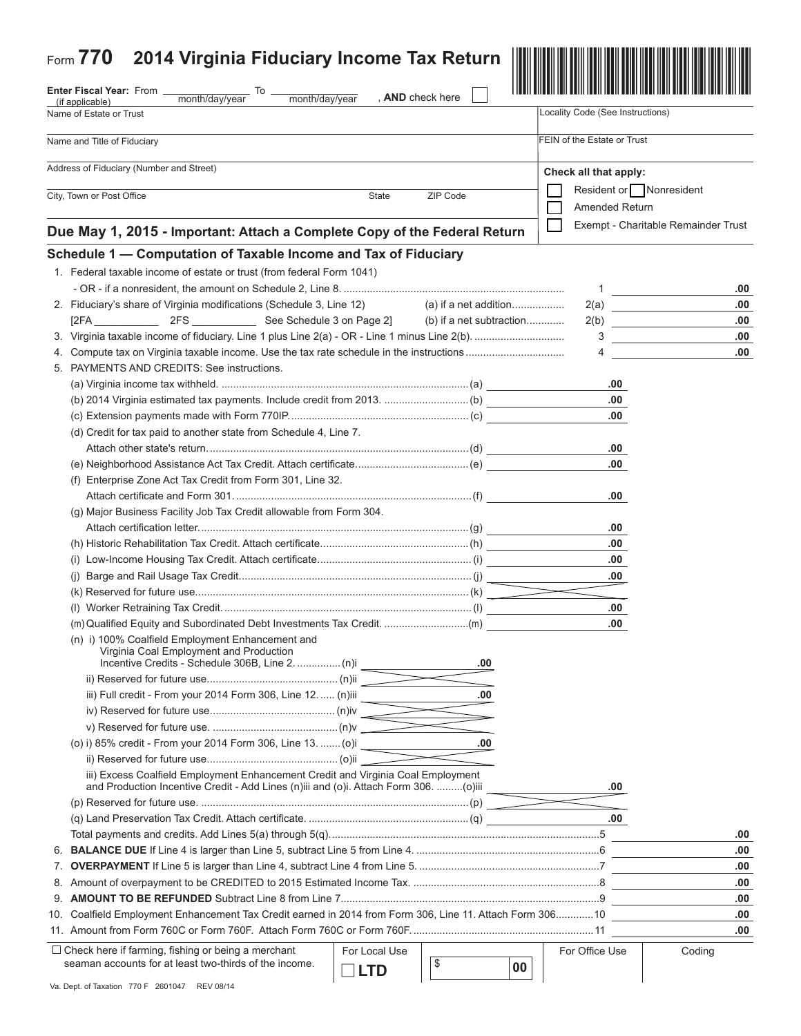| Form 770<br>2014 Virginia Fiduciary Income Tax Return                                                                                                                    |                  |          |                                  |                                     |
|--------------------------------------------------------------------------------------------------------------------------------------------------------------------------|------------------|----------|----------------------------------|-------------------------------------|
| Enter Fiscal Year: From _<br>To                                                                                                                                          |                  |          |                                  |                                     |
| month/day/year<br>month/day/year<br>(if applicable)                                                                                                                      | , AND check here |          |                                  |                                     |
| Name of Estate or Trust                                                                                                                                                  |                  |          | Locality Code (See Instructions) |                                     |
| Name and Title of Fiduciary                                                                                                                                              |                  |          | FEIN of the Estate or Trust      |                                     |
| Address of Fiduciary (Number and Street)                                                                                                                                 |                  |          | Check all that apply:            |                                     |
| City, Town or Post Office                                                                                                                                                | State            | ZIP Code | Resident or Nonresident          |                                     |
|                                                                                                                                                                          |                  |          | Amended Return                   |                                     |
| Due May 1, 2015 - Important: Attach a Complete Copy of the Federal Return                                                                                                |                  |          |                                  | Exempt - Charitable Remainder Trust |
| Schedule 1 - Computation of Taxable Income and Tax of Fiduciary                                                                                                          |                  |          |                                  |                                     |
| 1. Federal taxable income of estate or trust (from federal Form 1041)                                                                                                    |                  |          |                                  |                                     |
|                                                                                                                                                                          |                  |          | $\mathbf{1}$                     | .00                                 |
| 2. Fiduciary's share of Virginia modifications (Schedule 3, Line 12)                                                                                                     |                  |          | 2(a)                             | .00                                 |
|                                                                                                                                                                          |                  |          | 2(b)                             | .00                                 |
|                                                                                                                                                                          |                  |          | 3                                | .00                                 |
| 5. PAYMENTS AND CREDITS: See instructions.                                                                                                                               |                  |          | 4                                | .00                                 |
|                                                                                                                                                                          |                  |          | .00                              |                                     |
| (b) 2014 Virginia estimated tax payments. Include credit from 2013. (b)                                                                                                  |                  |          | .00                              |                                     |
|                                                                                                                                                                          |                  |          | .00                              |                                     |
| (d) Credit for tax paid to another state from Schedule 4, Line 7.                                                                                                        |                  |          |                                  |                                     |
|                                                                                                                                                                          |                  |          | .00                              |                                     |
|                                                                                                                                                                          |                  |          | .00                              |                                     |
| (f) Enterprise Zone Act Tax Credit from Form 301, Line 32.                                                                                                               |                  |          |                                  |                                     |
|                                                                                                                                                                          |                  |          | .00                              |                                     |
| (g) Major Business Facility Job Tax Credit allowable from Form 304.                                                                                                      |                  |          |                                  |                                     |
|                                                                                                                                                                          |                  |          | .00                              |                                     |
|                                                                                                                                                                          |                  |          | .00                              |                                     |
|                                                                                                                                                                          |                  |          | .00                              |                                     |
|                                                                                                                                                                          |                  |          | .00                              |                                     |
|                                                                                                                                                                          |                  |          |                                  |                                     |
|                                                                                                                                                                          |                  |          | .00                              |                                     |
|                                                                                                                                                                          |                  |          | .00                              |                                     |
| (n) i) 100% Coalfield Employment Enhancement and                                                                                                                         |                  |          |                                  |                                     |
| Virginia Coal Employment and Production                                                                                                                                  |                  |          |                                  |                                     |
|                                                                                                                                                                          |                  | .00      |                                  |                                     |
|                                                                                                                                                                          |                  |          |                                  |                                     |
| iii) Full credit - From your 2014 Form 306, Line 12 (n)iii                                                                                                               |                  | .00      |                                  |                                     |
|                                                                                                                                                                          |                  |          |                                  |                                     |
|                                                                                                                                                                          |                  |          |                                  |                                     |
| (o) i) 85% credit - From your 2014 Form 306, Line 13.  (o)i                                                                                                              |                  | .00      |                                  |                                     |
|                                                                                                                                                                          |                  |          |                                  |                                     |
| iii) Excess Coalfield Employment Enhancement Credit and Virginia Coal Employment<br>and Production Incentive Credit - Add Lines (n)iii and (o)i. Attach Form 306. (o)iii |                  |          | .00                              |                                     |
|                                                                                                                                                                          |                  |          |                                  |                                     |
|                                                                                                                                                                          |                  |          | .00                              |                                     |
|                                                                                                                                                                          |                  |          |                                  | .00                                 |
|                                                                                                                                                                          |                  |          |                                  | .00                                 |
|                                                                                                                                                                          |                  |          |                                  | .00                                 |
|                                                                                                                                                                          |                  |          |                                  | .00                                 |
|                                                                                                                                                                          |                  |          |                                  | .00                                 |
| 10. Coalfield Employment Enhancement Tax Credit earned in 2014 from Form 306, Line 11. Attach Form 30610                                                                 |                  |          |                                  | .00                                 |
|                                                                                                                                                                          |                  |          |                                  | .00                                 |
| $\Box$ Check here if farming, fishing or being a merchant                                                                                                                | For Local Use    |          | For Office Use                   | Coding                              |
| seaman accounts for at least two-thirds of the income.                                                                                                                   | LTD              | \$<br>00 |                                  |                                     |
|                                                                                                                                                                          |                  |          |                                  |                                     |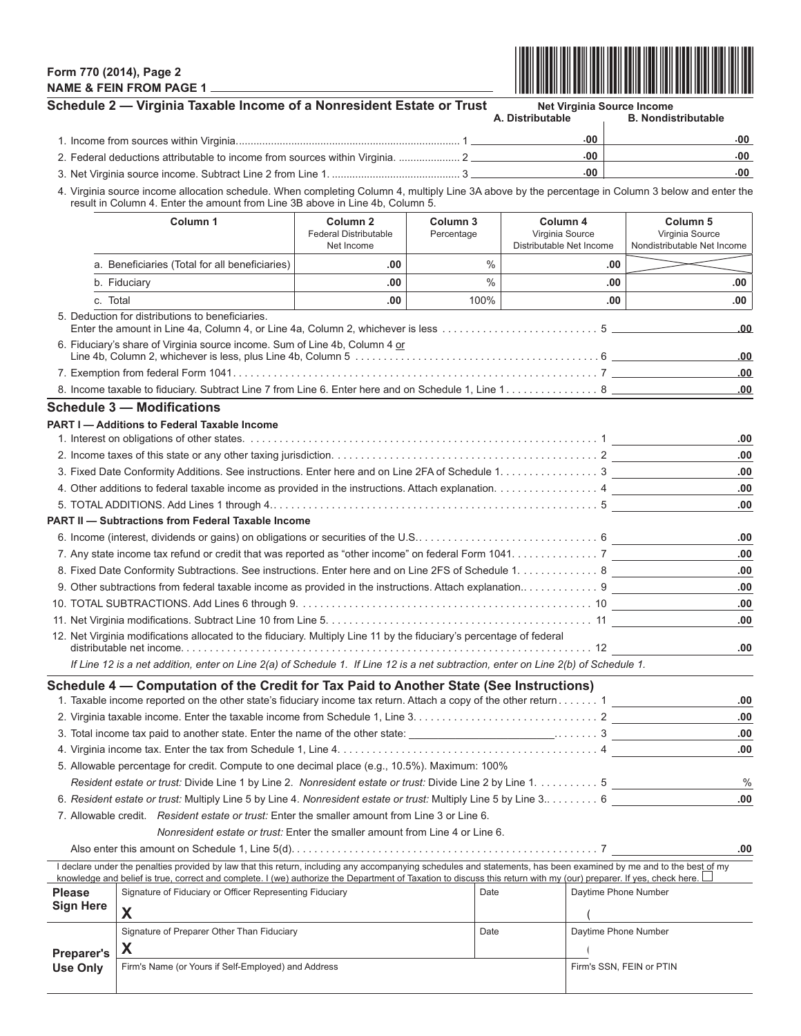## **Form 770 (2014), Page 2 NAME & FEIN FROM PAGE 1**



|                        | Schedule 2 - Virginia Taxable Income of a Nonresident Estate or Trust                                                                                                                                                                                                                                                                      |                                                                   |                        | A. Distributable                                        | <b>Net Virginia Source Income</b> | <b>B. Nondistributable</b>                                 |
|------------------------|--------------------------------------------------------------------------------------------------------------------------------------------------------------------------------------------------------------------------------------------------------------------------------------------------------------------------------------------|-------------------------------------------------------------------|------------------------|---------------------------------------------------------|-----------------------------------|------------------------------------------------------------|
|                        |                                                                                                                                                                                                                                                                                                                                            |                                                                   |                        |                                                         | $.00 \cdot$                       | -00                                                        |
|                        | 2. Federal deductions attributable to income from sources within Virginia.  2                                                                                                                                                                                                                                                              |                                                                   |                        |                                                         | .00                               | .00                                                        |
|                        |                                                                                                                                                                                                                                                                                                                                            |                                                                   |                        |                                                         | .00                               | .00                                                        |
|                        | 4. Virginia source income allocation schedule. When completing Column 4, multiply Line 3A above by the percentage in Column 3 below and enter the<br>result in Column 4. Enter the amount from Line 3B above in Line 4b, Column 5.                                                                                                         |                                                                   |                        |                                                         |                                   |                                                            |
|                        | Column 1                                                                                                                                                                                                                                                                                                                                   | Column <sub>2</sub><br><b>Federal Distributable</b><br>Net Income | Column 3<br>Percentage | Column 4<br>Virginia Source<br>Distributable Net Income |                                   | Column 5<br>Virginia Source<br>Nondistributable Net Income |
|                        | a. Beneficiaries (Total for all beneficiaries)                                                                                                                                                                                                                                                                                             | .00                                                               | $\frac{0}{0}$          |                                                         | .00                               |                                                            |
|                        | b. Fiduciary                                                                                                                                                                                                                                                                                                                               | .00                                                               | $\frac{0}{0}$          |                                                         | .00                               | .00                                                        |
| c. Total               |                                                                                                                                                                                                                                                                                                                                            | .00                                                               | 100%                   |                                                         | .00                               | .00                                                        |
|                        | 5. Deduction for distributions to beneficiaries.                                                                                                                                                                                                                                                                                           |                                                                   |                        |                                                         |                                   | .00                                                        |
|                        | 6. Fiduciary's share of Virginia source income. Sum of Line 4b, Column 4 or                                                                                                                                                                                                                                                                |                                                                   |                        |                                                         |                                   | <u>.00</u>                                                 |
|                        |                                                                                                                                                                                                                                                                                                                                            |                                                                   |                        |                                                         |                                   | .00                                                        |
|                        | 8. Income taxable to fiduciary. Subtract Line 7 from Line 6. Enter here and on Schedule 1, Line 1. 8                                                                                                                                                                                                                                       |                                                                   |                        |                                                         |                                   | .00.                                                       |
|                        | Schedule 3 - Modifications                                                                                                                                                                                                                                                                                                                 |                                                                   |                        |                                                         |                                   |                                                            |
|                        | <b>PART I-Additions to Federal Taxable Income</b>                                                                                                                                                                                                                                                                                          |                                                                   |                        |                                                         |                                   |                                                            |
|                        |                                                                                                                                                                                                                                                                                                                                            |                                                                   |                        |                                                         |                                   | .00                                                        |
|                        | 3. Fixed Date Conformity Additions. See instructions. Enter here and on Line 2FA of Schedule 1. 3                                                                                                                                                                                                                                          |                                                                   |                        |                                                         |                                   | .00<br>.00                                                 |
|                        |                                                                                                                                                                                                                                                                                                                                            |                                                                   |                        |                                                         |                                   | .00                                                        |
|                        | 4. Other additions to federal taxable income as provided in the instructions. Attach explanation. 4                                                                                                                                                                                                                                        |                                                                   |                        |                                                         |                                   | .00                                                        |
|                        | PART II - Subtractions from Federal Taxable Income                                                                                                                                                                                                                                                                                         |                                                                   |                        |                                                         |                                   |                                                            |
|                        |                                                                                                                                                                                                                                                                                                                                            |                                                                   |                        |                                                         |                                   | .00                                                        |
|                        | 7. Any state income tax refund or credit that was reported as "other income" on federal Form 1041. 7                                                                                                                                                                                                                                       |                                                                   |                        |                                                         |                                   | .00                                                        |
|                        |                                                                                                                                                                                                                                                                                                                                            |                                                                   |                        |                                                         |                                   | .00                                                        |
|                        | 8. Fixed Date Conformity Subtractions. See instructions. Enter here and on Line 2FS of Schedule 1. 8<br>.00                                                                                                                                                                                                                                |                                                                   |                        |                                                         |                                   |                                                            |
|                        | .00                                                                                                                                                                                                                                                                                                                                        |                                                                   |                        |                                                         |                                   |                                                            |
|                        |                                                                                                                                                                                                                                                                                                                                            |                                                                   |                        |                                                         |                                   | .00                                                        |
|                        | 12. Net Virginia modifications allocated to the fiduciary. Multiply Line 11 by the fiduciary's percentage of federal<br>.00                                                                                                                                                                                                                |                                                                   |                        |                                                         |                                   |                                                            |
|                        | If Line 12 is a net addition, enter on Line 2(a) of Schedule 1. If Line 12 is a net subtraction, enter on Line 2(b) of Schedule 1.                                                                                                                                                                                                         |                                                                   |                        |                                                         |                                   |                                                            |
|                        | Schedule 4 – Computation of the Credit for Tax Paid to Another State (See Instructions)                                                                                                                                                                                                                                                    |                                                                   |                        |                                                         |                                   |                                                            |
|                        | 1. Taxable income reported on the other state's fiduciary income tax return. Attach a copy of the other return 1                                                                                                                                                                                                                           |                                                                   |                        |                                                         |                                   | .00                                                        |
|                        |                                                                                                                                                                                                                                                                                                                                            |                                                                   |                        |                                                         |                                   | .00                                                        |
|                        |                                                                                                                                                                                                                                                                                                                                            |                                                                   |                        |                                                         | .00                               |                                                            |
|                        |                                                                                                                                                                                                                                                                                                                                            |                                                                   |                        |                                                         |                                   | .00                                                        |
|                        | 5. Allowable percentage for credit. Compute to one decimal place (e.g., 10.5%). Maximum: 100%                                                                                                                                                                                                                                              |                                                                   |                        |                                                         |                                   |                                                            |
|                        | Resident estate or trust: Divide Line 1 by Line 2. Nonresident estate or trust: Divide Line 2 by Line 1. 5                                                                                                                                                                                                                                 |                                                                   |                        |                                                         |                                   | $\%$                                                       |
|                        | 6. Resident estate or trust: Multiply Line 5 by Line 4. Nonresident estate or trust: Multiply Line 5 by Line 3 6                                                                                                                                                                                                                           |                                                                   |                        |                                                         |                                   | .00                                                        |
|                        | 7. Allowable credit. Resident estate or trust: Enter the smaller amount from Line 3 or Line 6.                                                                                                                                                                                                                                             |                                                                   |                        |                                                         |                                   |                                                            |
|                        | Nonresident estate or trust: Enter the smaller amount from Line 4 or Line 6.                                                                                                                                                                                                                                                               |                                                                   |                        |                                                         |                                   |                                                            |
|                        |                                                                                                                                                                                                                                                                                                                                            |                                                                   |                        |                                                         |                                   | .00                                                        |
|                        | I declare under the penalties provided by law that this return, including any accompanying schedules and statements, has been examined by me and to the best of my<br>knowledge and belief is true, correct and complete. I (we) authorize the Department of Taxation to discuss this return with my (our) preparer. If yes, check here. L |                                                                   |                        |                                                         |                                   |                                                            |
| <b>Please</b>          | Signature of Fiduciary or Officer Representing Fiduciary                                                                                                                                                                                                                                                                                   |                                                                   | Date                   |                                                         | Daytime Phone Number              |                                                            |
| <b>Sign Here</b>       | X                                                                                                                                                                                                                                                                                                                                          |                                                                   |                        |                                                         |                                   |                                                            |
|                        | Signature of Preparer Other Than Fiduciary                                                                                                                                                                                                                                                                                                 |                                                                   | Date                   |                                                         | Daytime Phone Number              |                                                            |
| X<br><b>Preparer's</b> |                                                                                                                                                                                                                                                                                                                                            |                                                                   |                        |                                                         |                                   |                                                            |
| <b>Use Only</b>        | Firm's Name (or Yours if Self-Employed) and Address                                                                                                                                                                                                                                                                                        |                                                                   |                        |                                                         | Firm's SSN, FEIN or PTIN          |                                                            |